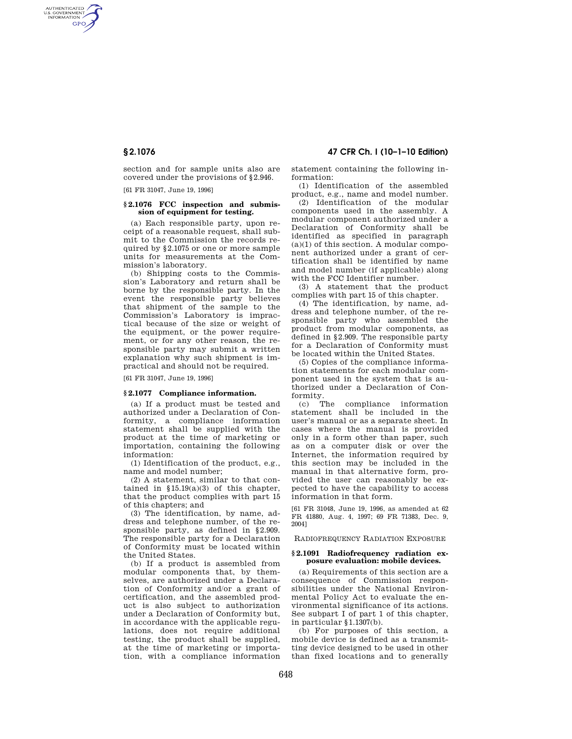AUTHENTICATED<br>U.S. GOVERNMENT<br>INFORMATION **GPO** 

> section and for sample units also are covered under the provisions of §2.946.

[61 FR 31047, June 19, 1996]

# **§ 2.1076 FCC inspection and submission of equipment for testing.**

(a) Each responsible party, upon receipt of a reasonable request, shall submit to the Commission the records required by §2.1075 or one or more sample units for measurements at the Commission's laboratory.

(b) Shipping costs to the Commission's Laboratory and return shall be borne by the responsible party. In the event the responsible party believes that shipment of the sample to the Commission's Laboratory is impractical because of the size or weight of the equipment, or the power requirement, or for any other reason, the responsible party may submit a written explanation why such shipment is impractical and should not be required.

[61 FR 31047, June 19, 1996]

### **§ 2.1077 Compliance information.**

(a) If a product must be tested and authorized under a Declaration of Conformity, a compliance information statement shall be supplied with the product at the time of marketing or importation, containing the following information:

(1) Identification of the product, e.g., name and model number;

(2) A statement, similar to that contained in  $$15.19(a)(3)$  of this chapter, that the product complies with part 15 of this chapters; and

(3) The identification, by name, address and telephone number, of the responsible party, as defined in §2.909. The responsible party for a Declaration of Conformity must be located within the United States.

(b) If a product is assembled from modular components that, by themselves, are authorized under a Declaration of Conformity and/or a grant of certification, and the assembled product is also subject to authorization under a Declaration of Conformity but, in accordance with the applicable regulations, does not require additional testing, the product shall be supplied, at the time of marketing or importation, with a compliance information

**§ 2.1076 47 CFR Ch. I (10–1–10 Edition)** 

statement containing the following information:

(1) Identification of the assembled product, e.g., name and model number.

(2) Identification of the modular components used in the assembly. A modular component authorized under a Declaration of Conformity shall be identified as specified in paragraph (a)(1) of this section. A modular component authorized under a grant of certification shall be identified by name and model number (if applicable) along with the FCC Identifier number.

(3) A statement that the product complies with part 15 of this chapter.

(4) The identification, by name, address and telephone number, of the responsible party who assembled the product from modular components, as defined in §2.909. The responsible party for a Declaration of Conformity must be located within the United States.

(5) Copies of the compliance information statements for each modular component used in the system that is authorized under a Declaration of Con-

formity.<br>(c) The compliance information statement shall be included in the user's manual or as a separate sheet. In cases where the manual is provided only in a form other than paper, such as on a computer disk or over the Internet, the information required by this section may be included in the manual in that alternative form, provided the user can reasonably be expected to have the capability to access information in that form.

[61 FR 31048, June 19, 1996, as amended at 62 FR 41880, Aug. 4, 1997; 69 FR 71383, Dec. 9, 2004]

RADIOFREQUENCY RADIATION EXPOSURE

#### **§ 2.1091 Radiofrequency radiation exposure evaluation: mobile devices.**

(a) Requirements of this section are a consequence of Commission responsibilities under the National Environmental Policy Act to evaluate the environmental significance of its actions. See subpart I of part 1 of this chapter, in particular §1.1307(b).

(b) For purposes of this section, a mobile device is defined as a transmitting device designed to be used in other than fixed locations and to generally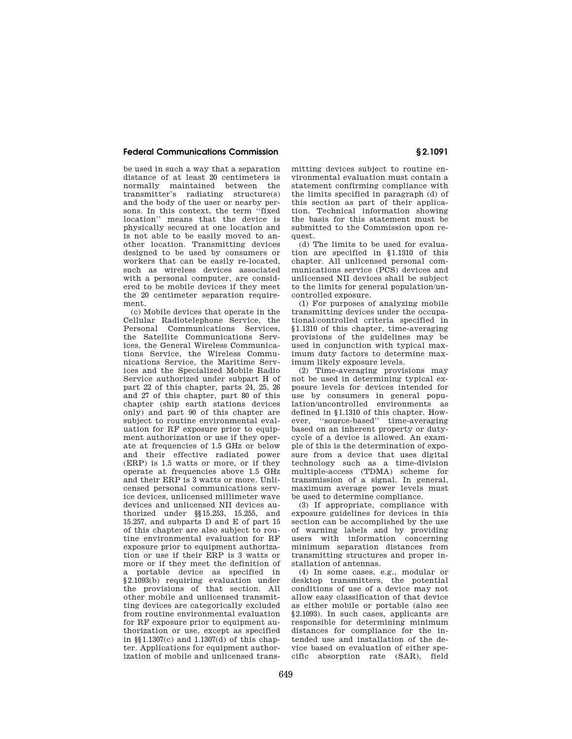# **Federal Communications Commission § 2.1091**

be used in such a way that a separation distance of at least 20 centimeters is normally maintained between the transmitter's radiating structure(s) and the body of the user or nearby persons. In this context, the term ''fixed location'' means that the device is physically secured at one location and is not able to be easily moved to another location. Transmitting devices designed to be used by consumers or workers that can be easily re-located, such as wireless devices associated with a personal computer, are considered to be mobile devices if they meet the 20 centimeter separation requirement.

(c) Mobile devices that operate in the Cellular Radiotelephone Service, the Personal Communications Services, the Satellite Communications Services, the General Wireless Communications Service, the Wireless Communications Service, the Maritime Services and the Specialized Mobile Radio Service authorized under subpart H of part 22 of this chapter, parts 24, 25, 26 and 27 of this chapter, part 80 of this chapter (ship earth stations devices only) and part 90 of this chapter are subject to routine environmental evaluation for RF exposure prior to equipment authorization or use if they operate at frequencies of 1.5 GHz or below and their effective radiated power (ERP) is 1.5 watts or more, or if they operate at frequencies above 1.5 GHz and their ERP is 3 watts or more. Unlicensed personal communications service devices, unlicensed millimeter wave devices and unlicensed NII devices authorized under §§15.253, 15.255, and 15.257, and subparts D and E of part 15 of this chapter are also subject to routine environmental evaluation for RF exposure prior to equipment authorization or use if their ERP is 3 watts or more or if they meet the definition of a portable device as specified in §2.1093(b) requiring evaluation under the provisions of that section. All other mobile and unlicensed transmitting devices are categorically excluded from routine environmental evaluation for RF exposure prior to equipment authorization or use, except as specified in  $$81.1307(c)$  and  $1.1307(d)$  of this chapter. Applications for equipment authorization of mobile and unlicensed transmitting devices subject to routine environmental evaluation must contain a statement confirming compliance with the limits specified in paragraph (d) of this section as part of their application. Technical information showing the basis for this statement must be submitted to the Commission upon request.

(d) The limits to be used for evaluation are specified in §1.1310 of this chapter. All unlicensed personal communications service (PCS) devices and unlicensed NII devices shall be subject to the limits for general population/uncontrolled exposure.

(1) For purposes of analyzing mobile transmitting devices under the occupational/controlled criteria specified in §1.1310 of this chapter, time-averaging provisions of the guidelines may be used in conjunction with typical maximum duty factors to determine maximum likely exposure levels.

(2) Time-averaging provisions may not be used in determining typical exposure levels for devices intended for use by consumers in general population/uncontrolled environments as defined in §1.1310 of this chapter. However, ''source-based'' time-averaging based on an inherent property or dutycycle of a device is allowed. An example of this is the determination of exposure from a device that uses digital technology such as a time-division multiple-access (TDMA) scheme for transmission of a signal. In general, maximum average power levels must be used to determine compliance.

(3) If appropriate, compliance with exposure guidelines for devices in this section can be accomplished by the use of warning labels and by providing users with information concerning minimum separation distances from transmitting structures and proper installation of antennas.

(4) In some cases, e.g., modular or desktop transmitters, the potential conditions of use of a device may not allow easy classification of that device as either mobile or portable (also see §2.1093). In such cases, applicants are responsible for determining minimum distances for compliance for the intended use and installation of the device based on evaluation of either specific absorption rate (SAR), field